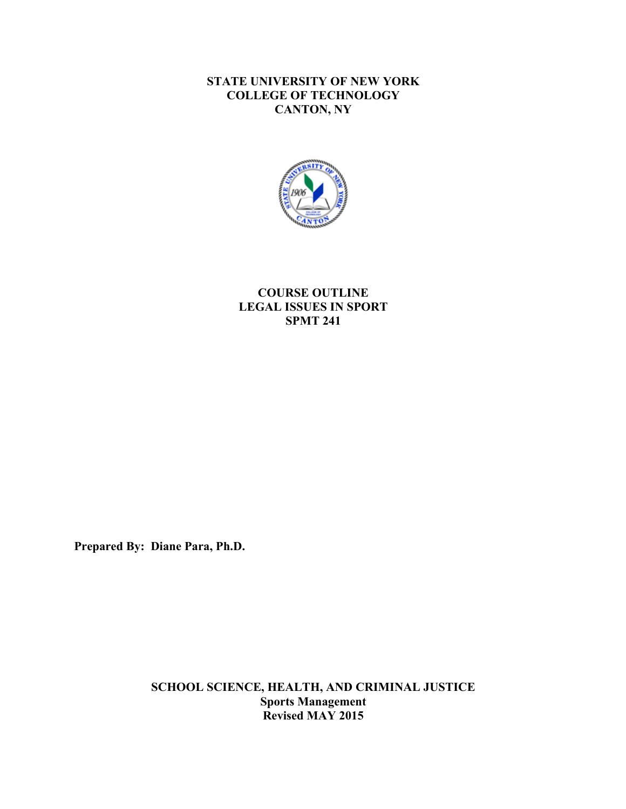# **STATE UNIVERSITY OF NEW YORK COLLEGE OF TECHNOLOGY CANTON, NY**



# **COURSE OUTLINE LEGAL ISSUES IN SPORT SPMT 241**

**Prepared By: Diane Para, Ph.D.** 

 **Revised MAY 2015 SCHOOL SCIENCE, HEALTH, AND CRIMINAL JUSTICE Sports Management**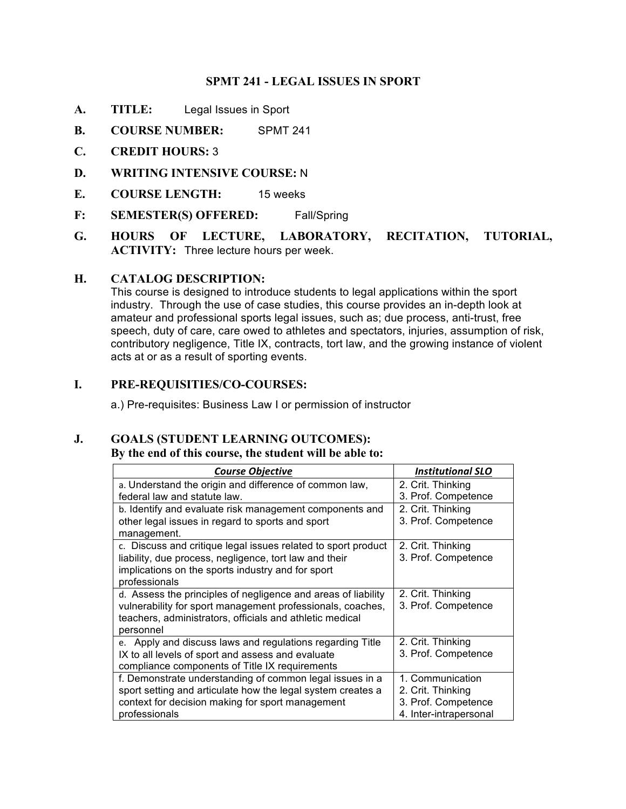## **SPMT 241 - LEGAL ISSUES IN SPORT**

- **A. TITLE:** Legal Issues in Sport
- **B. COURSE NUMBER:** SPMT 241
- **C. CREDIT HOURS:** 3
- **D. WRITING INTENSIVE COURSE:** N
- **E. COURSE LENGTH:** 15 weeks
- **F: SEMESTER(S) OFFERED:** Fall/Spring
- **HOURS** OF LECTURE, **ACTIVITY:** Three lecture hours per week. **G. HOURS OF LECTURE, LABORATORY, RECITATION, TUTORIAL,**

## **H. CATALOG DESCRIPTION:**

 This course is designed to introduce students to legal applications within the sport industry. Through the use of case studies, this course provides an in-depth look at amateur and professional sports legal issues, such as; due process, anti-trust, free speech, duty of care, care owed to athletes and spectators, injuries, assumption of risk, contributory negligence, Title IX, contracts, tort law, and the growing instance of violent acts at or as a result of sporting events.

## **I. PRE-REQUISITIES/CO-COURSES:**

a.) Pre-requisites: Business Law I or permission of instructor

## **J. GOALS (STUDENT LEARNING OUTCOMES):**

#### **By the end of this course, the student will be able to:**

| <b>Course Objective</b>                                       | <b>Institutional SLO</b> |
|---------------------------------------------------------------|--------------------------|
| a. Understand the origin and difference of common law,        | 2. Crit. Thinking        |
| federal law and statute law.                                  | 3. Prof. Competence      |
| b. Identify and evaluate risk management components and       | 2. Crit. Thinking        |
| other legal issues in regard to sports and sport              | 3. Prof. Competence      |
| management.                                                   |                          |
| c. Discuss and critique legal issues related to sport product | 2. Crit. Thinking        |
| liability, due process, negligence, tort law and their        | 3. Prof. Competence      |
| implications on the sports industry and for sport             |                          |
| professionals                                                 |                          |
| d. Assess the principles of negligence and areas of liability | 2. Crit. Thinking        |
| vulnerability for sport management professionals, coaches,    | 3. Prof. Competence      |
| teachers, administrators, officials and athletic medical      |                          |
| personnel                                                     |                          |
| e. Apply and discuss laws and regulations regarding Title     | 2. Crit. Thinking        |
| IX to all levels of sport and assess and evaluate             | 3. Prof. Competence      |
| compliance components of Title IX requirements                |                          |
| f. Demonstrate understanding of common legal issues in a      | 1. Communication         |
| sport setting and articulate how the legal system creates a   | 2. Crit. Thinking        |
| context for decision making for sport management              | 3. Prof. Competence      |
| professionals                                                 | 4. Inter-intrapersonal   |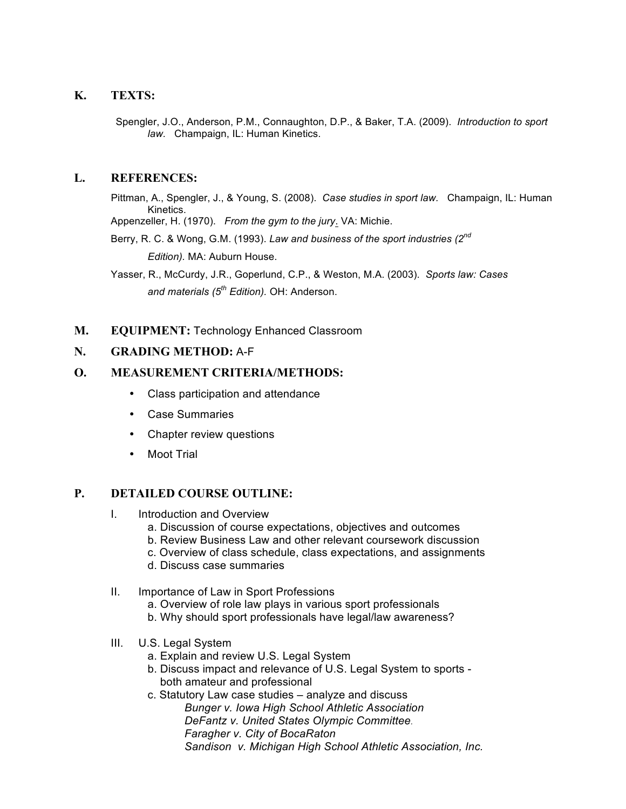## **K. TEXTS:**

 *law.* Champaign, IL: Human Kinetics. Spengler, J.O., Anderson, P.M., Connaughton, D.P., & Baker, T.A. (2009). *Introduction to sport* 

## **L. REFERENCES:**

 Pittman, A., Spengler, J., & Young, S. (2008). *Case studies in sport law.* Champaign, IL: Human Kinetics.

Appenzeller, H. (1970). *From the gym to the jury*. VA: Michie.

 Berry, R. C. & Wong, G.M. (1993). *Law and business of the sport industries (2nd Edition).* MA: Auburn House.

Yasser, R., McCurdy, J.R., Goperlund, C.P., & Weston, M.A. (2003). *Sports law: Cases and materials (5th Edition).* OH: Anderson.

## **M. EQUIPMENT:** Technology Enhanced Classroom

## **N. GRADING METHOD:** A-F

## **O. MEASUREMENT CRITERIA/METHODS:**

- Class participation and attendance
- Case Summaries
- Chapter review questions
- Moot Trial

#### **P. DETAILED COURSE OUTLINE:**

- I. Introduction and Overview
	- a. Discussion of course expectations, objectives and outcomes
	- b. Review Business Law and other relevant coursework discussion
	- c. Overview of class schedule, class expectations, and assignments
	- d. Discuss case summaries
- II. Importance of Law in Sport Professions
	- a. Overview of role law plays in various sport professionals
	- b. Why should sport professionals have legal/law awareness?
- III. U.S. Legal System
	- a. Explain and review U.S. Legal System
	- b. Discuss impact and relevance of U.S. Legal System to sports both amateur and professional
	- *Faragher v. City of BocaRaton Sandison v. Michigan High School Athletic Association, Inc.* c. Statutory Law case studies – analyze and discuss *Bunger v. Iowa High School Athletic Association DeFantz v. United States Olympic Committee.*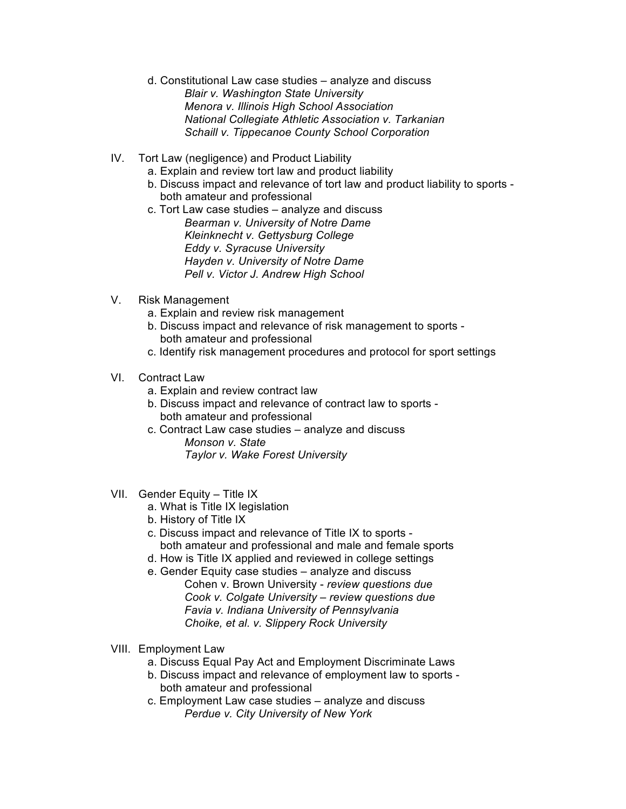- d. Constitutional Law case studies analyze and discuss *Blair v. Washington State University Menora v. Illinois High School Association National Collegiate Athletic Association v. Tarkanian Schaill v. Tippecanoe County School Corporation*
- IV. Tort Law (negligence) and Product Liability
	- a. Explain and review tort law and product liability
	- b. Discuss impact and relevance of tort law and product liability to sports both amateur and professional
	- *Kleinknecht v. Gettysburg College Eddy v. Syracuse University Hayden v. University of Notre Dame*  c. Tort Law case studies – analyze and discuss *Bearman v. University of Notre Dame Pell v. Victor J. Andrew High School*
- V. Risk Management
	- a. Explain and review risk management
	- b. Discuss impact and relevance of risk management to sports both amateur and professional
	- c. Identify risk management procedures and protocol for sport settings
- VI. Contract Law
	- a. Explain and review contract law
	- b. Discuss impact and relevance of contract law to sports both amateur and professional
	- c. Contract Law case studies analyze and discuss *Monson v. State Taylor v. Wake Forest University*
- VII. Gender Equity Title IX
	- a. What is Title IX legislation
	- b. History of Title IX
	- c. Discuss impact and relevance of Title IX to sports both amateur and professional and male and female sports
	- d. How is Title IX applied and reviewed in college settings
	- e. Gender Equity case studies analyze and discuss Cohen v. Brown University - *review questions due Cook v. Colgate University – review questions due Favia v. Indiana University of Pennsylvania Choike, et al. v. Slippery Rock University*
- VIII. Employment Law
	- a. Discuss Equal Pay Act and Employment Discriminate Laws
	- b. Discuss impact and relevance of employment law to sports both amateur and professional
	- c. Employment Law case studies analyze and discuss *Perdue v. City University of New York*